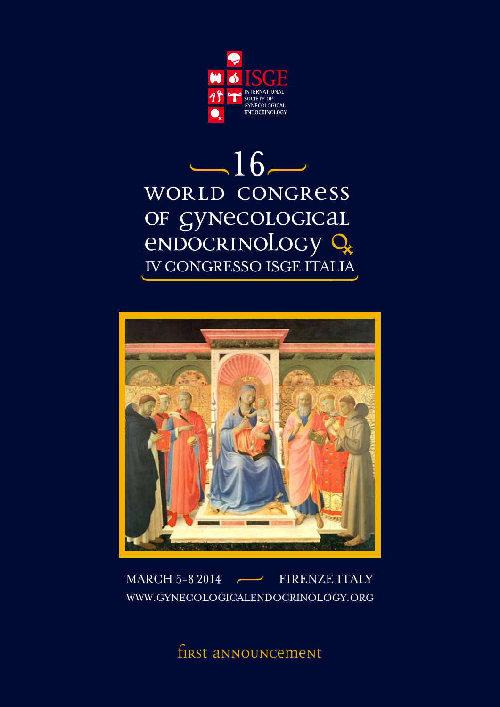

# $-16-$ WORLD CONGRESS OF GYNECOLOGICAL<br>
ENDOCRINOLOGY Q



#### MARCH 5-8 2014 FIRENZE ITALY レー WWW.GYNECOLOGICALENDOCRINOLOGY.ORG

first announcement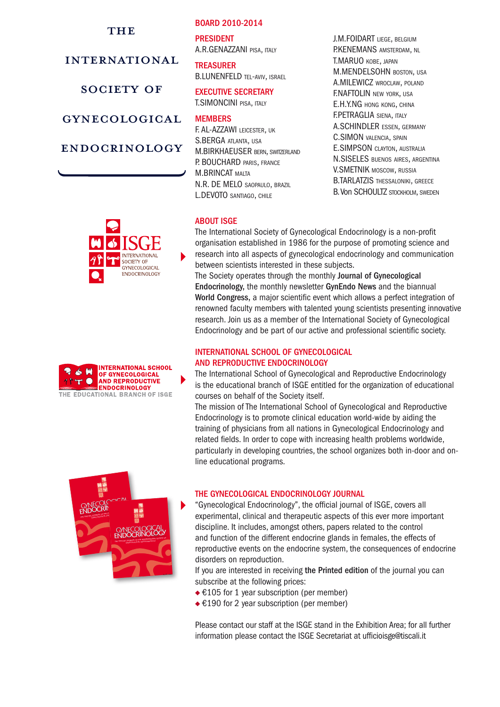# **THE**

# international

# SOCIETY OF

gynecological

# endocrinology

#### Board 2010-2014

**PRESIDENT** A.R.GENAZZANI pisa, italy

**TREASURER** B.LUNENFELD TEL-AVIV, ISRAEL

#### Executive Secretary T.SIMONCINI pisa, italy

# **MFMRFRS**

F. AL-AZZAWI leicester, uk S.BERGA atlanta, usa M.BIRKHAEUSER bern, switzerland P. BOUCHARD PARIS, FRANCE M.BRINCAT malta N.R. DE MELO saopaulo, brazil L.DEVOTO santiago, chile

J.M.FOIDART liege, belgium P.KENEMANS amsterdam, nl T.MARUO kobe, japan M.MENDELSOHN boston, usa A.MILEWICZ wroclaw, poland F.NAFTOLIN new york, usa E.H.Y.NG hong kong, china F.PETRAGLIA siena, italy A.SCHINDLER essen, germany C.SIMON valencia, spain E.SIMPSON clayton, australia N.SISELES buenos aires, argentina V.SMETNIK moscow, russia B.TARLATZIS THESSALONIKI, GREECE B. Von SCHOULTZ stockholm, sweden

# **ABOUT ISGE**

The International Society of Gynecological Endocrinology is a non-profit organisation established in 1986 for the purpose of promoting science and research into all aspects of gynecological endocrinology and communication between scientists interested in these subjects.

The Society operates through the monthly Journal of Gynecological Endocrinology, the monthly newsletter GynEndo News and the biannual World Congress, a major scientific event which allows a perfect integration of renowned faculty members with talented young scientists presenting innovative research. Join us as a member of the International Society of Gynecological Endocrinology and be part of our active and professional scientific society.

#### INTERNATIONAL SCHOOL OF GYNECOLOGICAL AND REPRODUCTIVE ENDOCRINOLOGY

The International School of Gynecological and Reproductive Endocrinology is the educational branch of ISGE entitled for the organization of educational courses on behalf of the Society itself.

The mission of The International School of Gynecological and Reproductive Endocrinology is to promote clinical education world-wide by aiding the training of physicians from all nations in Gynecological Endocrinology and related fields. In order to cope with increasing health problems worldwide, particularly in developing countries, the school organizes both in-door and online educational programs.



### The Gynecological Endocrinology Journal

"Gynecological Endocrinology", the official journal of ISGE, covers all experimental, clinical and therapeutic aspects of this ever more important discipline. It includes, amongst others, papers related to the control and function of the different endocrine glands in females, the effects of reproductive events on the endocrine system, the consequences of endocrine disorders on reproduction.

If you are interested in receiving the Printed edition of the journal you can subscribe at the following prices:

- €105 for 1 year subscription (per member)
- €190 for 2 year subscription (per member)

Please contact our staff at the ISGE stand in the Exhibition Area; for all further information please contact the ISGE Secretariat at ufficioisge@tiscali.it



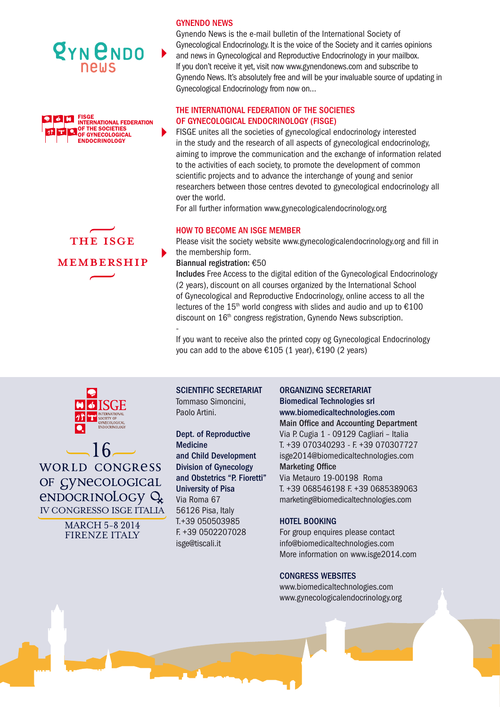





### **GYNENDO NEW**

Gynendo News is the e-mail bulletin of the International Society of Gynecological Endocrinology. It is the voice of the Society and it carries opinions and news in Gynecological and Reproductive Endocrinology in your mailbox. If you don't receive it yet, visit now www.gynendonews.com and subscribe to Gynendo News. It's absolutely free and will be your invaluable source of updating in Gynecological Endocrinology from now on…

# The International Federation of the Societies of Gynecological Endocrinology (FISGE)

FISGE unites all the societies of gynecological endocrinology interested in the study and the research of all aspects of gynecological endocrinology, aiming to improve the communication and the exchange of information related to the activities of each society, to promote the development of common scientific projects and to advance the interchange of young and senior researchers between those centres devoted to gynecological endocrinology all over the world.

For all further information www.gynecologicalendocrinology.org

### How to become an isge member

Please visit the society website www.gynecologicalendocrinology.org and fill in the membership form.

Biannual registration: €50

Includes Free Access to the digital edition of the Gynecological Endocrinology (2 years), discount on all courses organized by the International School of Gynecological and Reproductive Endocrinology, online access to all the lectures of the  $15<sup>th</sup>$  world congress with slides and audio and up to  $£100$ discount on 16<sup>th</sup> congress registration, Gynendo News subscription. -

If you want to receive also the printed copy og Gynecological Endocrinology you can add to the above  $£105$  (1 year),  $£190$  (2 years)



 $-16$ **WORLD CONGRESS** OF CYNECOLOGICAL endocrinology Q IV CONGRESSO ISGE ITALIA

> MARCH 5-8 2014 FIRENZE ITALY

SCIENTIFIC SECRETARIAT Tommaso Simoncini, Paolo Artini.

## Dept. of Reproductive

Medicine and Child Development Division of Gynecology and Obstetrics "P. Fioretti" University of Pisa Via Roma 67 56126 Pisa, Italy T.+39 050503985 F. +39 0502207028 isge@tiscali.it

#### ORGANIZING SECRETARIAT

Biomedical Technologies srl www.biomedicaltechnologies.com Main Office and Accounting Department Via P. Cugia 1 - 09129 Cagliari – Italia T. +39 070340293 - F. +39 070307727 isge2014@biomedicaltechnologies.com Marketing Office Via Metauro 19-00198 Roma

T. +39 068546198 F. +39 0685389063 marketing@biomedicaltechnologies.com

### HOTEL BOOKING

For group enquires please contact info@biomedicaltechnologies.com More information on www.isge2014.com

### CongresS Websites

www.biomedicaltechnologies.com www.gynecologicalendocrinology.org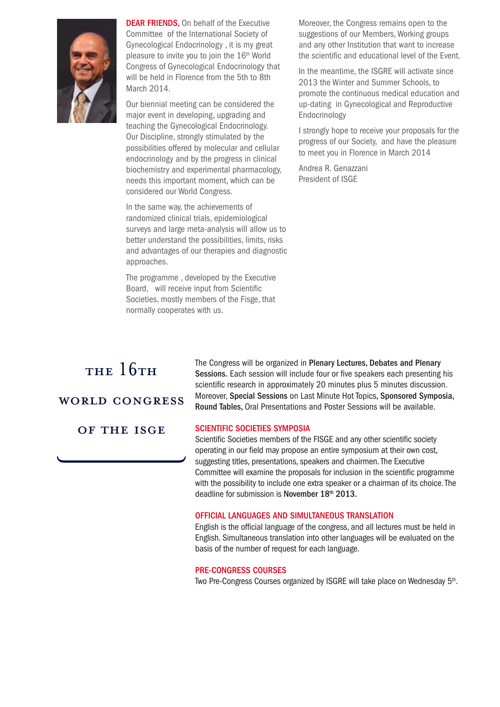

**DEAR FRIENDS, On behalf of the Executive** Committee of the International Society of Gynecological Endocrinology , it is my great pleasure to invite you to join the 16<sup>th</sup> World Congress of Gynecological Endocrinology that will be held in Florence from the 5th to 8th March 2014.

Our biennial meeting can be considered the major event in developing, upgrading and teaching the Gynecological Endocrinology. Our Discipline, strongly stimulated by the possibilities offered by molecular and cellular endocrinology and by the progress in clinical biochemistry and experimental pharmacology, needs this important moment, which can be considered our World Congress.

In the same way, the achievements of randomized clinical trials, epidemiological surveys and large meta-analysis will allow us to better understand the possibilities, limits, risks and advantages of our therapies and diagnostic approaches.

The programme , developed by the Executive Board, will receive input from Scientific Societies, mostly members of the Fisge, that normally cooperates with us.

Moreover, the Congress remains open to the suggestions of our Members, Working groups and any other Institution that want to increase the scientific and educational level of the Event.

In the meantime, the ISGRE will activate since 2013 the Winter and Summer Schools, to promote the continuous medical education and up-dating in Gynecological and Reproductive Endocrinology

I strongly hope to receive your proposals for the progress of our Society, and have the pleasure to meet you in Florence in March 2014

Andrea R. Genazzani President of ISGE

# THE 16TH

# world congress

of the isge

The Congress will be organized in Plenary Lectures, Debates and Plenary Sessions. Each session will include four or five speakers each presenting his scientific research in approximately 20 minutes plus 5 minutes discussion. Moreover, Special Sessions on Last Minute Hot Topics, Sponsored Symposia, Round Tables, Oral Presentations and Poster Sessions will be available.

### SCIENTIFIC SOCIETIES SYMPOSIA

Scientific Societies members of the FISGE and any other scientific society operating in our field may propose an entire symposium at their own cost, suggesting titles, presentations, speakers and chairmen. The Executive Committee will examine the proposals for inclusion in the scientific programme with the possibility to include one extra speaker or a chairman of its choice. The deadline for submission is November 18<sup>th</sup> 2013.

#### Official Languages and simultaneous translation

English is the official language of the congress, and all lectures must be held in English. Simultaneous translation into other languages will be evaluated on the basis of the number of request for each language.

#### Pre-Congress courses

Two Pre-Congress Courses organized by ISGRE will take place on Wednesday 5<sup>th</sup>.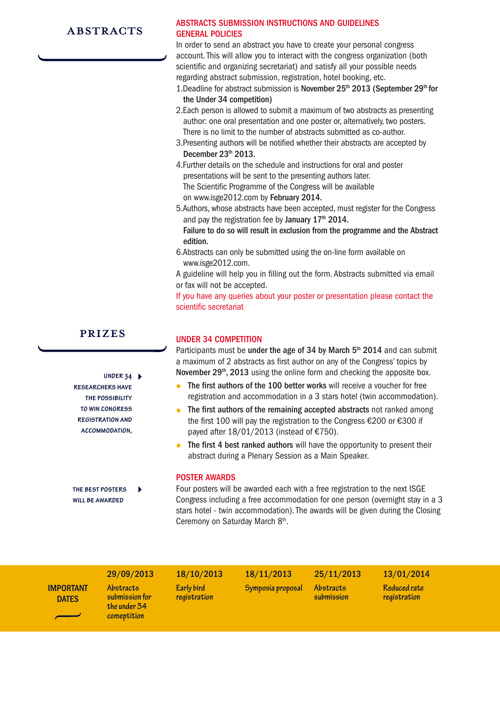# **ABSTRACTS**

## Abstracts submission instructions and guidelines GENERAL POLICIES

In order to send an abstract you have to create your personal congress account. This will allow you to interact with the congress organization (both scientific and organizing secretariat) and satisfy all your possible needs regarding abstract submission, registration, hotel booking, etc.

- 1. Deadline for abstract submission is November  $25<sup>th</sup>$  2013 (September  $29<sup>th</sup>$  for the Under 34 competition)
- 2.Each person is allowed to submit a maximum of two abstracts as presenting author: one oral presentation and one poster or, alternatively, two posters. There is no limit to the number of abstracts submitted as co-author.
- 3.Presenting authors will be notified whether their abstracts are accepted by December  $23<sup>th</sup>$  2013.
- 4.Further details on the schedule and instructions for oral and poster presentations will be sent to the presenting authors later. The Scientific Programme of the Congress will be available on www.isge2012.com by February 2014.
- 5.Authors, whose abstracts have been accepted, must register for the Congress and pay the registration fee by January  $17<sup>th</sup>$  2014.

Failure to do so will result in exclusion from the programme and the Abstract edition.

- 6.Abstracts can only be submitted using the on-line form available on www.isge2012.com.
- A guideline will help you in filling out the form. Abstracts submitted via email or fax will not be accepted.

If you have any queries about your poster or presentation please contact the scientific secretariat

# prizes

**under 34 researchers have the possibility to win congress registration and accommodation,**

**the best posters will be awarded**

# UNDER 34 COMPETITION

Participants must be under the age of 34 by March  $5<sup>th</sup>$  2014 and can submit a maximum of 2 abstracts as first author on any of the Congress' topics by November 29<sup>th</sup>, 2013 using the online form and checking the apposite box.

- The first authors of the 100 better works will receive a voucher for free registration and accommodation in a 3 stars hotel (twin accommodation).
- The first authors of the remaining accepted abstracts not ranked among the first 100 will pay the registration to the Congress €200 or €300 if payed after  $18/01/2013$  (instead of  $£750$ ).
- The first 4 best ranked authors will have the opportunity to present their abstract during a Plenary Session as a Main Speaker.

#### Poster awards

Four posters will be awarded each with a free registration to the next ISGE Congress including a free accommodation for one person (overnight stay in a 3 stars hotel - twin accommodation). The awards will be given during the Closing Ceremony on Saturday March 8<sup>th</sup>.

|                                  | 29/09/2013                                                        | 18/10/2013                 | 18/11/2013        | 25/11/2013                     | 13/01/2014                   |
|----------------------------------|-------------------------------------------------------------------|----------------------------|-------------------|--------------------------------|------------------------------|
| <b>IMPORTANT</b><br><b>DATES</b> | <b>Abstracts</b><br>submission for<br>the under 34<br>comeptition | Early bird<br>registration | Symposia proposal | <i>Abstracts</i><br>submission | Reduced rate<br>registration |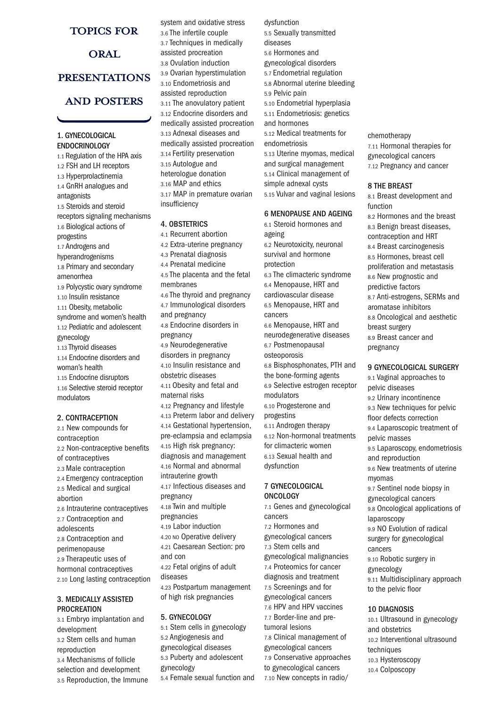### topics for

# ORAL presentations

# and posters

#### 1. GYNECOLOGICAL **ENDOCRINOLOGY**

1.1 Regulation of the HPA axis 1.2 FSH and LH receptors 1.3 Hyperprolactinemia 1.4 GnRH analogues and antagonists 1.5 Steroids and steroid receptors signaling mechanisms 1.6 Biological actions of progestins 1.7 Androgens and hyperandrogenisms 1.8 Primary and secondary amenorrhea 1.9 Polycystic ovary syndrome 1.10 Insulin resistance 1.11 Obesity, metabolic syndrome and women's health 1.12 Pediatric and adolescent gynecology 1.13 Thyroid diseases 1.14 Endocrine disorders and woman's health 1.15 Endocrine disruptors 1.16 Selective steroid receptor modulators

#### 2. CONTRACEPTION

2.1 New compounds for contraception 2.2 Non-contraceptive benefits of contraceptives 2.3 Male contraception 2.4 Emergency contraception 2.5 Medical and surgical abortion 2.6 Intrauterine contraceptives 2.7 Contraception and adolescents 2.8 Contraception and perimenopause 2.9 Therapeutic uses of hormonal contraceptives 2.10 Long lasting contraception

#### 3. MEDICALLY ASSISTED **PROCREATION**

3.1 Embryo implantation and development 3.2 Stem cells and human reproduction 3.4 Mechanisms of follicle selection and development 3.5 Reproduction, the Immune system and oxidative stress 3.6 The infertile couple 3.7 Techniques in medically assisted procreation 3.8 Ovulation induction 3.9 Ovarian hyperstimulation 3.10 Endometriosis and assisted reproduction 3.11 The anovulatory patient 3.12 Endocrine disorders and medically assisted procreation 3.13 Adnexal diseases and medically assisted procreation 3.14 Fertility preservation 3.15 Autologue and heterologue donation 3.16 MAP and ethics 3.17 MAP in premature ovarian insufficiency

#### 4. OBSTETRICS

- 4.1 Recurrent abortion 4.2 Extra-uterine pregnancy 4.3 Prenatal diagnosis
- 4.4 Prenatal medicine
- 4.5 The placenta and the fetal membranes
- 4.6 The thyroid and pregnancy 4.7 Immunological disorders
- and pregnancy
- 4.8 Endocrine disorders in pregnancy
- 4.9 Neurodegenerative disorders in pregnancy 4.10 Insulin resistance and
- obstetric diseases
- 4.11 Obesity and fetal and maternal risks
- 4.12 Pregnancy and lifestyle 4.13 Preterm labor and delivery 4.14 Gestational hypertension,
- pre-eclampsia and eclampsia 4.15 High risk pregnancy:
- diagnosis and management
- 4.16 Normal and abnormal
- intrauterine growth 4.17 Infectious diseases and
- pregnancy 4.18 Twin and multiple
- pregnancies
- 4.19 Labor induction 4.20 NO Operative delivery
- 4.21 Caesarean Section: pro
- and con 4.22 Fetal origins of adult
- diseases
- 4.23 Postpartum management
- of high risk pregnancies

#### 5. GYNECOLOGY

5.1 Stem cells in gynecology 5.2 Angiogenesis and gynecological diseases 5.3 Puberty and adolescent gynecology 5.4 Female sexual function and dysfunction 5.5 Sexually transmitted diseases 5.6 Hormones and gynecological disorders 5.7 Endometrial regulation 5.8 Abnormal uterine bleeding 5.9 Pelvic pain 5.10 Endometrial hyperplasia 5.11 Endometriosis: genetics and hormones 5.12 Medical treatments for endometriosis 5.13 Uterine myomas, medical and surgical management 5.14 Clinical management of simple adnexal cysts 5.15 Vulvar and vaginal lesions

#### 6 MENOPAUSE AND AGEING

6.1 Steroid hormones and ageing 6.2 Neurotoxicity, neuronal survival and hormone protection 6.3 The climacteric syndrome 6.4 Menopause, HRT and cardiovascular disease 6.5 Menopause, HRT and cancers 6.6 Menopause, HRT and neurodegenerative diseases 6.7 Postmenopausal osteoporosis 6.8 Bisphosphonates, PTH and the bone-forming agents 6.9 Selective estrogen receptor modulators 6.10 Progesterone and progestins 6.11 Androgen therapy 6.12 Non-hormonal treatments

for climacteric women 6.13 Sexual health and dysfunction

#### 7 GYNECOLOGICAL **ONCOLOGY**

7.1 Genes and gynecological cancers 7.2 Hormones and gynecological cancers 7.3 Stem cells and gynecological malignancies 7.4 Proteomics for cancer diagnosis and treatment 7.5 Screenings and for gynecological cancers 7.6 HPV and HPV vaccines 7.7 Border-line and pretumoral lesions 7.8 Clinical management of gynecological cancers 7.9 Conservative approaches to gynecological cancers 7.10 New concepts in radio/

chemotherapy 7.11 Hormonal therapies for gynecological cancers 7.12 Pregnancy and cancer

#### 8 THE BREAST

8.1 Breast development and function 8.2 Hormones and the breast 8.3 Benign breast diseases, contraception and HRT 8.4 Breast carcinogenesis 8.5 Hormones, breast cell proliferation and metastasis 8.6 New prognostic and predictive factors 8.7 Anti-estrogens, SERMs and aromatase inhibitors 8.8 Oncological and aesthetic breast surgery 8.9 Breast cancer and pregnancy

#### 9 GYNECOLOGICAL SURGERY

9.1 Vaginal approaches to pelvic diseases 9.2 Urinary incontinence 9.3 New techniques for pelvic floor defects correction 9.4 Laparoscopic treatment of pelvic masses 9.5 Laparoscopy, endometriosis and reproduction 9.6 New treatments of uterine myomas 9.7 Sentinel node biopsy in gynecological cancers 9.8 Oncological applications of laparoscopy 9.9 NO Evolution of radical surgery for gynecological cancers 9.10 Robotic surgery in gynecology 9.11 Multidisciplinary approach to the pelvic floor

#### 10 DIAGNOSIS

10.1 Ultrasound in gynecology and obstetrics 10.2 Interventional ultrasound techniques 10.3 Hysteroscopy 10.4 Colposcopy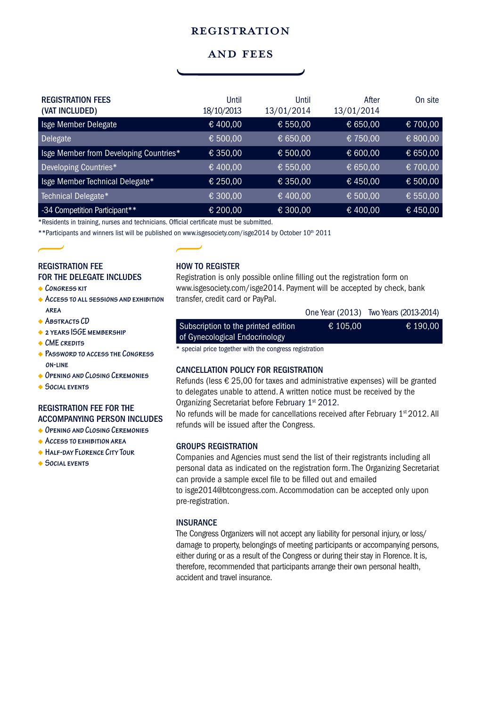# **REGISTRATION**

# and fees

| <b>REGISTRATION FEES</b><br>(VAT INCLUDED) | Until<br>18/10/2013 | Until<br>13/01/2014 | After<br>13/01/2014 | On site  |
|--------------------------------------------|---------------------|---------------------|---------------------|----------|
| Isge Member Delegate                       | € 400,00            | € 550,00            | € 650,00            | € 700,00 |
| <b>Delegate</b>                            | € 500,00            | € 650,00            | € 750,00            | € 800,00 |
| Isge Member from Developing Countries*     | € 350,00            | € 500,00            | € 600,00            | € 650,00 |
| Developing Countries*                      | € 400,00            | € 550,00            | € 650,00            | € 700,00 |
| Isge Member Technical Delegate*            | € 250,00            | € 350,00            | €450,00             | € 500,00 |
| Technical Delegate*                        | € 300,00            | € 400,00            | € 500,00            | € 550,00 |
| -34 Competition Participant**              | € 200,00            | € 300,00            | € 400,00            | €450,00  |

\*Residents in training, nurses and technicians. Official certificate must be submitted.

\*\* Participants and winners list will be published on www.isgesociety.com/isge2014 by October 10th 2011

## registration fee for the delegate includes

- **CONGRESS KIT**
- **Access to all sessions and exhibition area**
- **ABSTRACTS CD**
- **2 years ISGE membership**
- **CME credits**
- **Password to access the Congress on-line**
- **Opening and Closing Ceremonies**
- **Social events**

# registration fee for the accompanying person includes

- **Opening and Closing Ceremonies**
- **Access to exhibition area**
- **Half-day Florence City Tour**
- **Social events**

# how to register

Registration is only possible online filling out the registration form on www.isgesociety.com/isge2014. Payment will be accepted by check, bank transfer, credit card or PayPal.

|                                                                       |          | One Year (2013) Two Years (2013-2014) |
|-----------------------------------------------------------------------|----------|---------------------------------------|
| Subscription to the printed edition<br>of Gynecological Endocrinology | € 105.00 | € 190.00                              |
|                                                                       |          |                                       |

\* special price together with the congress registration

### cancellation policy for registration

Refunds (less € 25,00 for taxes and administrative expenses) will be granted to delegates unable to attend. A written notice must be received by the Organizing Secretariat before February 1<sup>st</sup> 2012.

No refunds will be made for cancellations received after February 1<sup>st</sup> 2012. All refunds will be issued after the Congress.

#### groups registration

Companies and Agencies must send the list of their registrants including all personal data as indicated on the registration form. The Organizing Secretariat can provide a sample excel file to be filled out and emailed to isge2014@btcongress.com. Accommodation can be accepted only upon pre-registration.

### **INSURANCE**

The Congress Organizers will not accept any liability for personal injury, or loss/ damage to property, belongings of meeting participants or accompanying persons, either during or as a result of the Congress or during their stay in Florence. It is, therefore, recommended that participants arrange their own personal health, accident and travel insurance.